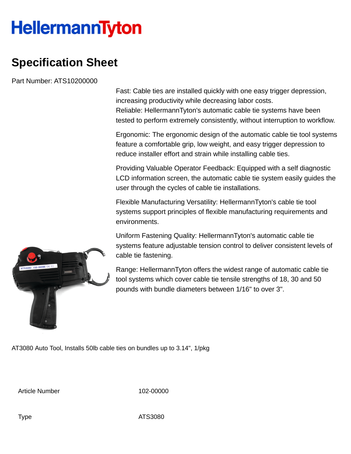## **HellermannTyton**

## **Specification Sheet**

Part Number: ATS10200000

Fast: Cable ties are installed quickly with one easy trigger depression, increasing productivity while decreasing labor costs. Reliable: HellermannTyton's automatic cable tie systems have been tested to perform extremely consistently, without interruption to workflow.

Ergonomic: The ergonomic design of the automatic cable tie tool systems feature a comfortable grip, low weight, and easy trigger depression to reduce installer effort and strain while installing cable ties.

Providing Valuable Operator Feedback: Equipped with a self diagnostic LCD information screen, the automatic cable tie system easily guides the user through the cycles of cable tie installations.

Flexible Manufacturing Versatility: HellermannTyton's cable tie tool systems support principles of flexible manufacturing requirements and environments.

Uniform Fastening Quality: HellermannTyton's automatic cable tie systems feature adjustable tension control to deliver consistent levels of cable tie fastening.

Range: HellermannTyton offers the widest range of automatic cable tie tool systems which cover cable tie tensile strengths of 18, 30 and 50 pounds with bundle diameters between 1/16" to over 3".

AT3080 Auto Tool, Installs 50lb cable ties on bundles up to 3.14", 1/pkg

Article Number 102-00000



Type ATS3080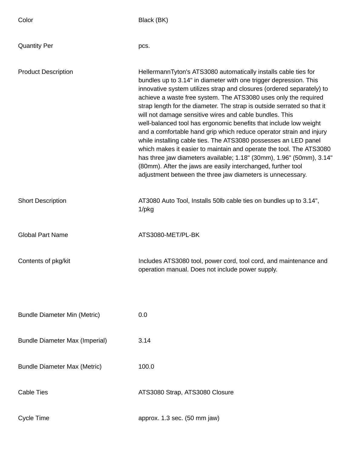| Color                                 | Black (BK)                                                                                                                                                                                                                                                                                                                                                                                                                                                                                                                                                                                                                                                                                                                                                                                                                                                                                                         |
|---------------------------------------|--------------------------------------------------------------------------------------------------------------------------------------------------------------------------------------------------------------------------------------------------------------------------------------------------------------------------------------------------------------------------------------------------------------------------------------------------------------------------------------------------------------------------------------------------------------------------------------------------------------------------------------------------------------------------------------------------------------------------------------------------------------------------------------------------------------------------------------------------------------------------------------------------------------------|
| <b>Quantity Per</b>                   | pcs.                                                                                                                                                                                                                                                                                                                                                                                                                                                                                                                                                                                                                                                                                                                                                                                                                                                                                                               |
| <b>Product Description</b>            | HellermannTyton's ATS3080 automatically installs cable ties for<br>bundles up to 3.14" in diameter with one trigger depression. This<br>innovative system utilizes strap and closures (ordered separately) to<br>achieve a waste free system. The ATS3080 uses only the required<br>strap length for the diameter. The strap is outside serrated so that it<br>will not damage sensitive wires and cable bundles. This<br>well-balanced tool has ergonomic benefits that include low weight<br>and a comfortable hand grip which reduce operator strain and injury<br>while installing cable ties. The ATS3080 possesses an LED panel<br>which makes it easier to maintain and operate the tool. The ATS3080<br>has three jaw diameters available; 1.18" (30mm), 1.96" (50mm), 3.14"<br>(80mm). After the jaws are easily interchanged, further tool<br>adjustment between the three jaw diameters is unnecessary. |
| <b>Short Description</b>              | AT3080 Auto Tool, Installs 50lb cable ties on bundles up to 3.14",<br>$1$ /p $kg$                                                                                                                                                                                                                                                                                                                                                                                                                                                                                                                                                                                                                                                                                                                                                                                                                                  |
| <b>Global Part Name</b>               | ATS3080-MET/PL-BK                                                                                                                                                                                                                                                                                                                                                                                                                                                                                                                                                                                                                                                                                                                                                                                                                                                                                                  |
| Contents of pkg/kit                   | Includes ATS3080 tool, power cord, tool cord, and maintenance and<br>operation manual. Does not include power supply.                                                                                                                                                                                                                                                                                                                                                                                                                                                                                                                                                                                                                                                                                                                                                                                              |
| <b>Bundle Diameter Min (Metric)</b>   | 0.0                                                                                                                                                                                                                                                                                                                                                                                                                                                                                                                                                                                                                                                                                                                                                                                                                                                                                                                |
| <b>Bundle Diameter Max (Imperial)</b> | 3.14                                                                                                                                                                                                                                                                                                                                                                                                                                                                                                                                                                                                                                                                                                                                                                                                                                                                                                               |
| <b>Bundle Diameter Max (Metric)</b>   | 100.0                                                                                                                                                                                                                                                                                                                                                                                                                                                                                                                                                                                                                                                                                                                                                                                                                                                                                                              |
| <b>Cable Ties</b>                     | ATS3080 Strap, ATS3080 Closure                                                                                                                                                                                                                                                                                                                                                                                                                                                                                                                                                                                                                                                                                                                                                                                                                                                                                     |
| <b>Cycle Time</b>                     | approx. 1.3 sec. (50 mm jaw)                                                                                                                                                                                                                                                                                                                                                                                                                                                                                                                                                                                                                                                                                                                                                                                                                                                                                       |